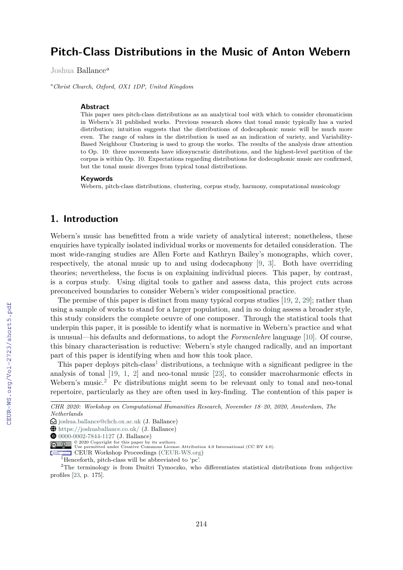# **Pitch-Class Distributions in the Music of Anton Webern**

Joshua Ballance*<sup>a</sup>*

*<sup>a</sup>Christ Church, Oxford, OX1 1DP, United Kingdom*

#### **Abstract**

This paper uses pitch-class distributions as an analytical tool with which to consider chromaticism in Webern's 31 published works. Previous research shows that tonal music typically has a varied distribution; intuition suggests that the distributions of dodecaphonic music will be much more even. The range of values in the distribution is used as an indication of variety, and Variability-Based Neighbour Clustering is used to group the works. The results of the analysis draw attention to Op. 10: three movements have idiosyncratic distributions, and the highest-level partition of the corpus is within Op. 10. Expectations regarding distributions for dodecaphonic music are confirmed, but the tonal music diverges from typical tonal distributions.

#### **Keywords**

Webern, pitch-class distributions, clustering, corpus study, harmony, computational musicology

### **1. Introduction**

Webern's music has benefitted from a wide variety of analytical interest; nonetheless, these enquiries have typically isolated individual works or movements for detailed consideration. The most wide-ranging studies are Allen Forte and Kathryn Bailey's monographs, which cover, respectively, the atonal music up to and using dodecaphony [9, 3]. Both have overriding theories; nevertheless, the focus is on explaining individual pieces. This paper, by contrast, is a corpus study. Using digital tools to gather and assess data, this project cuts across preconceived boundaries to consider Webern's wider compositional practice.

The premise of this paper is distinct from many typical corpus studies [19, 2, 29]; rather than using a sample of works to stand for a larger population, and in so doing assess a broader style, this study considers the complete oeuvre of one composer. Through the statistical tools that underpin this paper, it is possible to identify what is normative in Webern's practice and what is unusual—his defaults and deformations, to adopt the *Formenlehre* language [10]. Of course, this binary characterisation is reductive: Webern's style changed radically, and an important part of this paper is identifying when and how this took place.

This paper deploys pitch-class<sup>1</sup> distributions, a technique with a significant pedigree in the analysis of tonal [19, 1, 2] and neo-tonal music [23], to consider macroharmonic effects in Webern's music.<sup>2</sup> Pc distributions might seem to be relevant only to tonal and neo-tonal repertoire, particularly as they are often used in key-finding. The contention of this paper is

*CHR 2020: Workshop on Computational Humanities Research, November 18–20, 2020, Amsterdam, The Netherlands*

<sup>£</sup> joshua.ballance@chch.ox.ac.uk (J. Ballance)

Å https://joshuaballance.co.uk/ (J. Ballance)

 $\bullet$  0000-0002-7844-1127 (J. Ballance)

<sup>© 2020</sup> Copyright for this paper by its authors. Use permitted under Creative Commons License Attribution 4.0 International (CC BY 4.0).

CEUR Workshop Proceedings (CEUR-WS.org)

<sup>&</sup>lt;sup>1</sup>Henceforth, pitch-class will be abbreviated to 'pc'.

<sup>&</sup>lt;sup>2</sup>The terminology is from Dmitri Tymoczko, who differentiates statistical distributions from subjective profiles [23, p. 175].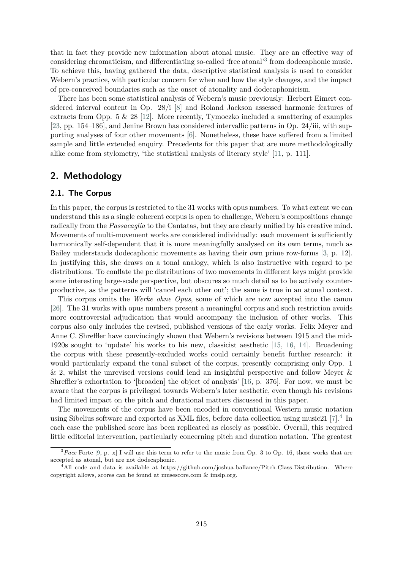that in fact they provide new information about atonal music. They are an effective way of considering chromaticism, and differentiating so-called 'free atonal'<sup>3</sup> from dodecaphonic music. To achieve this, having gathered the data, descriptive statistical analysis is used to consider Webern's practice, with particular concern for when and how the style changes, and the impact of pre-conceived boundaries such as the onset of atonality and dodecaphonicism.

There has been some statistical analysis of Webern's music previously: Herbert Eimert considered interval content in Op. 28/i [8] and Roland Jackson assessed harmonic features of extracts from Opp. 5 & 28 [12]. More recently, Tymoczko included a smattering of examples [23, pp. 154–186], and Jenine Brown has considered intervallic patterns in Op. 24/iii, with supporting analyses of four other movements [6]. Nonetheless, these have suffered from a limited sample and little extended enquiry. Precedents for this paper that are more methodologically alike come from stylometry, 'the statistical analysis of literary style' [11, p. 111].

### **2. Methodology**

#### **2.1. The Corpus**

In this paper, the corpus is restricted to the 31 works with opus numbers. To what extent we can understand this as a single coherent corpus is open to challenge, Webern's compositions change radically from the *Passacaglia* to the Cantatas, but they are clearly unified by his creative mind. Movements of multi-movement works are considered individually: each movement is sufficiently harmonically self-dependent that it is more meaningfully analysed on its own terms, much as Bailey understands dodecaphonic movements as having their own prime row-forms [3, p. 12]. In justifying this, she draws on a tonal analogy, which is also instructive with regard to pc distributions. To conflate the pc distributions of two movements in different keys might provide some interesting large-scale perspective, but obscures so much detail as to be actively counterproductive, as the patterns will 'cancel each other out'; the same is true in an atonal context.

This corpus omits the *Werke ohne Opus*, some of which are now accepted into the canon [26]. The 31 works with opus numbers present a meaningful corpus and such restriction avoids more controversial adjudication that would accompany the inclusion of other works. This corpus also only includes the revised, published versions of the early works. Felix Meyer and Anne C. Shreffler have convincingly shown that Webern's revisions between 1915 and the mid-1920s sought to 'update' his works to his new, classicist aesthetic [15, 16, 14]. Broadening the corpus with these presently-excluded works could certainly benefit further research: it would particularly expand the tonal subset of the corpus, presently comprising only Opp. 1 & 2, whilst the unrevised versions could lend an insightful perspective and follow Meyer & Shreffler's exhortation to '[broaden] the object of analysis' [16, p. 376]. For now, we must be aware that the corpus is privileged towards Webern's later aesthetic, even though his revisions had limited impact on the pitch and durational matters discussed in this paper.

The movements of the corpus have been encoded in conventional Western music notation using Sibelius software and exported as XML files, before data collection using music21  $[7].<sup>4</sup>$  In each case the published score has been replicated as closely as possible. Overall, this required little editorial intervention, particularly concerning pitch and duration notation. The greatest

<sup>3</sup>*Pace* Forte [9, p. x] I will use this term to refer to the music from Op. 3 to Op. 16, those works that are accepted as atonal, but are not dodecaphonic.

<sup>&</sup>lt;sup>4</sup>All code and data is available at https://github.com/joshua-ballance/Pitch-Class-Distribution. Where copyright allows, scores can be found at musescore.com & imslp.org.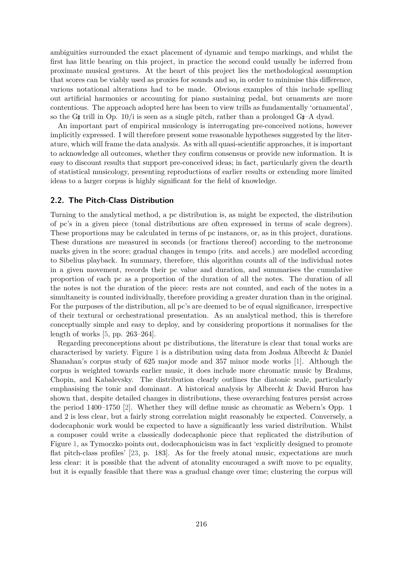ambiguities surrounded the exact placement of dynamic and tempo markings, and whilst the first has little bearing on this project, in practice the second could usually be inferred from proximate musical gestures. At the heart of this project lies the methodological assumption that scores can be viably used as proxies for sounds and so, in order to minimise this difference, various notational alterations had to be made. Obvious examples of this include spelling out artificial harmonics or accounting for piano sustaining pedal, but ornaments are more contentious. The approach adopted here has been to view trills as fundamentally 'ornamental', so the G $\sharp$  trill in Op. 10/i is seen as a single pitch, rather than a prolonged G $\sharp$ –A dyad.

An important part of empirical musicology is interrogating pre-conceived notions, however implicitly expressed. I will therefore present some reasonable hypotheses suggested by the literature, which will frame the data analysis. As with all quasi-scientific approaches, it is important to acknowledge all outcomes, whether they confirm consensus or provide new information. It is easy to discount results that support pre-conceived ideas; in fact, particularly given the dearth of statistical musicology, presenting reproductions of earlier results or extending more limited ideas to a larger corpus is highly significant for the field of knowledge.

#### **2.2. The Pitch-Class Distribution**

Turning to the analytical method, a pc distribution is, as might be expected, the distribution of pc's in a given piece (tonal distributions are often expressed in terms of scale degrees). These proportions may be calculated in terms of pc instances, or, as in this project, durations. These durations are measured in seconds (or fractions thereof) according to the metronome marks given in the score; gradual changes in tempo (rits. and accels.) are modelled according to Sibelius playback. In summary, therefore, this algorithm counts all of the individual notes in a given movement, records their pc value and duration, and summarises the cumulative proportion of each pc as a proportion of the duration of all the notes. The duration of all the notes is not the duration of the piece: rests are not counted, and each of the notes in a simultaneity is counted individually, therefore providing a greater duration than in the original. For the purposes of the distribution, all pc's are deemed to be of equal significance, irrespective of their textural or orchestrational presentation. As an analytical method, this is therefore conceptually simple and easy to deploy, and by considering proportions it normalises for the length of works [5, pp. 263–264].

Regarding preconceptions about pc distributions, the literature is clear that tonal works are characterised by variety. Figure 1 is a distribution using data from Joshua Albrecht & Daniel Shanahan's corpus study of 625 major mode and 357 minor mode works [1]. Although the corpus is weighted towards earlier music, it does include more chromatic music by Brahms, Chopin, and Kabalevsky. The distribution clearly outlines the diatonic scale, particularly emphasising the tonic and dominant. A historical analysis by Albrecht & David Huron has shown that, despite detailed changes in distributions, these overarching features persist across the period 1400–1750 [2]. Whether they will define music as chromatic as Webern's Opp. 1 and 2 is less clear, but a fairly strong correlation might reasonably be expected. Conversely, a dodecaphonic work would be expected to have a significantly less varied distribution. Whilst a composer could write a classically dodecaphonic piece that replicated the distribution of Figure 1, as Tymoczko points out, dodecaphonicism was in fact 'explicitly designed to promote flat pitch-class profiles' [23, p. 183]. As for the freely atonal music, expectations are much less clear: it is possible that the advent of atonality encouraged a swift move to pc equality, but it is equally feasible that there was a gradual change over time; clustering the corpus will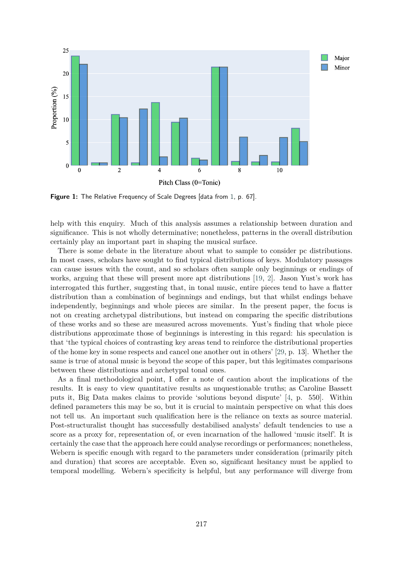

**Figure 1:** The Relative Frequency of Scale Degrees [data from 1, p. 67].

help with this enquiry. Much of this analysis assumes a relationship between duration and significance. This is not wholly determinative; nonetheless, patterns in the overall distribution certainly play an important part in shaping the musical surface.

There is some debate in the literature about what to sample to consider pc distributions. In most cases, scholars have sought to find typical distributions of keys. Modulatory passages can cause issues with the count, and so scholars often sample only beginnings or endings of works, arguing that these will present more apt distributions [19, 2]. Jason Yust's work has interrogated this further, suggesting that, in tonal music, entire pieces tend to have a flatter distribution than a combination of beginnings and endings, but that whilst endings behave independently, beginnings and whole pieces are similar. In the present paper, the focus is not on creating archetypal distributions, but instead on comparing the specific distributions of these works and so these are measured across movements. Yust's finding that whole piece distributions approximate those of beginnings is interesting in this regard: his speculation is that 'the typical choices of contrasting key areas tend to reinforce the distributional properties of the home key in some respects and cancel one another out in others' [29, p. 13]. Whether the same is true of atonal music is beyond the scope of this paper, but this legitimates comparisons between these distributions and archetypal tonal ones.

As a final methodological point, I offer a note of caution about the implications of the results. It is easy to view quantitative results as unquestionable truths; as Caroline Bassett puts it, Big Data makes claims to provide 'solutions beyond dispute' [4, p. 550]. Within defined parameters this may be so, but it is crucial to maintain perspective on what this does not tell us. An important such qualification here is the reliance on texts as source material. Post-structuralist thought has successfully destabilised analysts' default tendencies to use a score as a proxy for, representation of, or even incarnation of the hallowed 'music itself'. It is certainly the case that the approach here could analyse recordings or performances; nonetheless, Webern is specific enough with regard to the parameters under consideration (primarily pitch and duration) that scores are acceptable. Even so, significant hesitancy must be applied to temporal modelling. Webern's specificity is helpful, but any performance will diverge from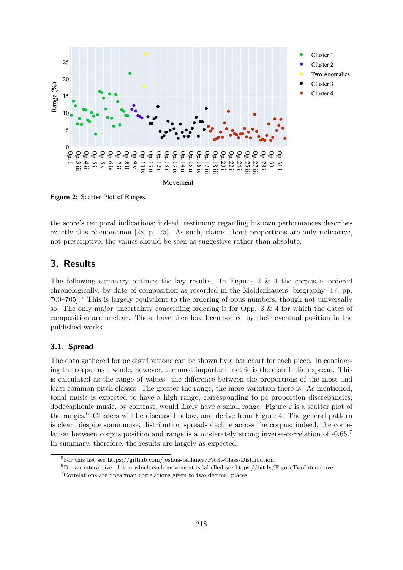

**Figure 2:** Scatter Plot of Ranges.

the score's temporal indications; indeed, testimony regarding his own performances describes exactly this phenomenon [28, p. 75]. As such, claims about proportions are only indicative, not prescriptive; the values should be seen as suggestive rather than absolute.

## **3. Results**

The following summary outlines the key results. In Figures  $2 \& 4$  the corpus is ordered chronologically, by date of composition as recorded in the Moldenhauers' biography [17, pp.  $700-705$ <sup>5</sup>. This is largely equivalent to the ordering of opus numbers, though not universally so. The only major uncertainty concerning ordering is for Opp.  $3 \& 4$  for which the dates of composition are unclear. These have therefore been sorted by their eventual position in the published works.

#### **3.1. Spread**

The data gathered for pc distributions can be shown by a bar chart for each piece. In considering the corpus as a whole, however, the most important metric is the distribution spread. This is calculated as the range of values: the difference between the proportions of the most and least common pitch classes. The greater the range, the more variation there is. As mentioned, tonal music is expected to have a high range, corresponding to pc proportion discrepancies; dodecaphonic music, by contrast, would likely have a small range. Figure 2 is a scatter plot of the ranges. $6$  Clusters will be discussed below, and derive from Figure 4. The general pattern is clear: despite some noise, distribution spreads decline across the corpus; indeed, the correlation between corpus position and range is a moderately strong inverse-correlation of -0.65.<sup>7</sup> In summary, therefore, the results are largely as expected.

 ${}^{5}$ For this list see https://github.com/joshua-ballance/Pitch-Class-Distribution.

 ${}^{6}$  For an interactive plot in which each movement is labelled see https://bit.ly/FigureTwoInteractive.

<sup>7</sup>Correlations are Spearman correlations given to two decimal places.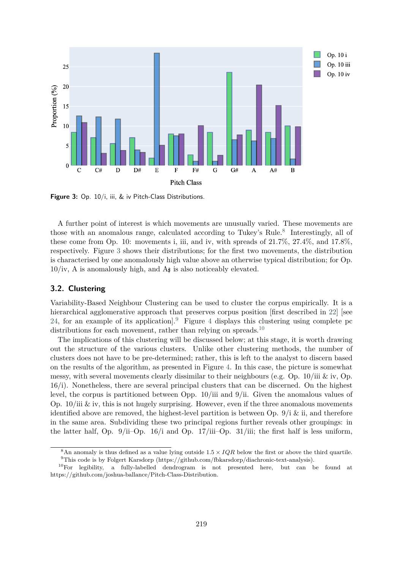

**Figure 3:** Op. 10/i, iii, & iv Pitch-Class Distributions.

A further point of interest is which movements are unusually varied. These movements are those with an anomalous range, calculated according to Tukey's Rule.<sup>8</sup> Interestingly, all of these come from Op. 10: movements i, iii, and iv, with spreads of 21.7%, 27.4%, and 17.8%, respectively. Figure 3 shows their distributions; for the first two movements, the distribution is characterised by one anomalously high value above an otherwise typical distribution; for Op.  $10/iv$ , A is anomalously high, and A $\sharp$  is also noticeably elevated.

#### **3.2. Clustering**

Variability-Based Neighbour Clustering can be used to cluster the corpus empirically. It is a hierarchical agglomerative approach that preserves corpus position [first described in 22] [see 24, for an example of its application].<sup>9</sup> Figure 4 displays this clustering using complete pc distributions for each movement, rather than relying on spreads.<sup>10</sup>

The implications of this clustering will be discussed below; at this stage, it is worth drawing out the structure of the various clusters. Unlike other clustering methods, the number of clusters does not have to be pre-determined; rather, this is left to the analyst to discern based on the results of the algorithm, as presented in Figure 4. In this case, the picture is somewhat messy, with several movements clearly dissimilar to their neighbours (e.g. Op.  $10/iii \& iv$ , Op. 16/i). Nonetheless, there are several principal clusters that can be discerned. On the highest level, the corpus is partitioned between Opp. 10/iii and 9/ii. Given the anomalous values of Op.  $10/iii \& iv$ , this is not hugely surprising. However, even if the three anomalous movements identified above are removed, the highest-level partition is between Op.  $9/i \&$  ii, and therefore in the same area. Subdividing these two principal regions further reveals other groupings: in the latter half, Op. 9/ii–Op. 16/i and Op. 17/iii–Op. 31/iii; the first half is less uniform,

<sup>&</sup>lt;sup>8</sup>An anomaly is thus defined as a value lying outside  $1.5 \times IQR$  below the first or above the third quartile. <sup>9</sup>This code is by Folgert Karsdorp (https://github.com/fbkarsdorp/diachronic-text-analysis).

 $10$ For legibility, a fully-labelled dendrogram is not presented here, but can be found at https://github.com/joshua-ballance/Pitch-Class-Distribution.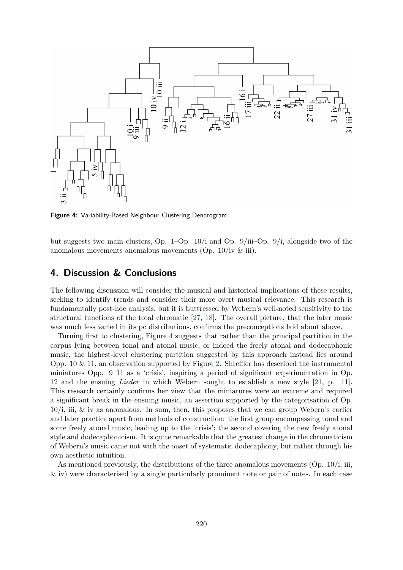

**Figure 4:** Variability-Based Neighbour Clustering Dendrogram.

but suggests two main clusters, Op. 1–Op. 10/i and Op. 9/iii–Op. 9/i, alongside two of the anomalous movements anomalous movements (Op. 10/iv & iii).

### **4. Discussion & Conclusions**

The following discussion will consider the musical and historical implications of these results, seeking to identify trends and consider their more overt musical relevance. This research is fundamentally post-hoc analysis, but it is buttressed by Webern's well-noted sensitivity to the structural functions of the total chromatic [27, 18]. The overall picture, that the later music was much less varied in its pc distributions, confirms the preconceptions laid about above.

Turning first to clustering, Figure 4 suggests that rather than the principal partition in the corpus lying between tonal and atonal music, or indeed the freely atonal and dodecaphonic music, the highest-level clustering partition suggested by this approach instead lies around Opp. 10  $\&$  11, an observation supported by Figure 2. Shreffler has described the instrumental miniatures Opp. 9–11 as a 'crisis', inspiring a period of significant experimentation in Op. 12 and the ensuing *Lieder* in which Webern sought to establish a new style [21, p. 11]. This research certainly confirms her view that the miniatures were an extreme and required a significant break in the ensuing music, an assertion supported by the categorisation of Op. 10/i, iii, & iv as anomalous. In sum, then, this proposes that we can group Webern's earlier and later practice apart from methods of construction: the first group encompassing tonal and some freely atonal music, leading up to the 'crisis'; the second covering the new freely atonal style and dodecaphonicism. It is quite remarkable that the greatest change in the chromaticism of Webern's music came not with the onset of systematic dodecaphony, but rather through his own aesthetic intuition.

As mentioned previously, the distributions of the three anomalous movements (Op. 10/i, iii, & iv) were characterised by a single particularly prominent note or pair of notes. In each case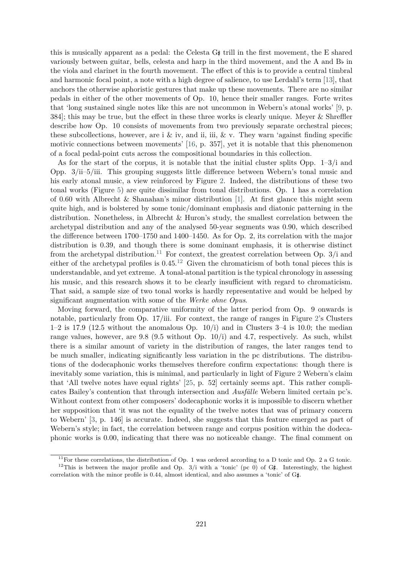this is musically apparent as a pedal: the Celesta G $\sharp$  trill in the first movement, the E shared variously between guitar, bells, celesta and harp in the third movement, and the A and  $B\flat$  in the viola and clarinet in the fourth movement. The effect of this is to provide a central timbral and harmonic focal point, a note with a high degree of salience, to use Lerdahl's term [13], that anchors the otherwise aphoristic gestures that make up these movements. There are no similar pedals in either of the other movements of Op. 10, hence their smaller ranges. Forte writes that 'long sustained single notes like this are not uncommon in Webern's atonal works' [9, p. 384]; this may be true, but the effect in these three works is clearly unique. Meyer & Shreffler describe how Op. 10 consists of movements from two previously separate orchestral pieces; these subcollections, however, are i & iv, and ii, iii, & v. They warn 'against finding specific motivic connections between movements' [16, p. 357], yet it is notable that this phenomenon of a focal pedal-point cuts across the compositional boundaries in this collection.

As for the start of the corpus, it is notable that the initial cluster splits Opp. 1–3/i and Opp. 3/ii–5/iii. This grouping suggests little difference between Webern's tonal music and his early atonal music, a view reinforced by Figure 2. Indeed, the distributions of these two tonal works (Figure 5) are quite dissimilar from tonal distributions. Op. 1 has a correlation of 0.60 with Albrecht & Shanahan's minor distribution [1]. At first glance this might seem quite high, and is bolstered by some tonic/dominant emphasis and diatonic patterning in the distribution. Nonetheless, in Albrecht & Huron's study, the smallest correlation between the archetypal distribution and any of the analysed 50-year segments was 0.90, which described the difference between 1700–1750 and 1400–1450. As for Op. 2, its correlation with the major distribution is 0.39, and though there is some dominant emphasis, it is otherwise distinct from the archetypal distribution.<sup>11</sup> For context, the greatest correlation between Op.  $3/i$  and either of the archetypal profiles is  $0.45<sup>12</sup>$  Given the chromaticism of both tonal pieces this is understandable, and yet extreme. A tonal-atonal partition is the typical chronology in assessing his music, and this research shows it to be clearly insufficient with regard to chromaticism. That said, a sample size of two tonal works is hardly representative and would be helped by significant augmentation with some of the *Werke ohne Opus*.

Moving forward, the comparative uniformity of the latter period from Op. 9 onwards is notable, particularly from Op. 17/iii. For context, the range of ranges in Figure 2's Clusters  $1-2$  is 17.9 (12.5 without the anomalous Op. 10/i) and in Clusters  $3-4$  is 10.0; the median range values, however, are 9.8 (9.5 without Op. 10/i) and 4.7, respectively. As such, whilst there is a similar amount of variety in the distribution of ranges, the later ranges tend to be much smaller, indicating significantly less variation in the pc distributions. The distributions of the dodecaphonic works themselves therefore confirm expectations: though there is inevitably some variation, this is minimal, and particularly in light of Figure 2 Webern's claim that 'All twelve notes have equal rights' [25, p. 52] certainly seems apt. This rather complicates Bailey's contention that through intersection and *Ausfälle* Webern limited certain pc's. Without context from other composers' dodecaphonic works it is impossible to discern whether her supposition that 'it was not the equality of the twelve notes that was of primary concern to Webern' [3, p. 146] is accurate. Indeed, she suggests that this feature emerged as part of Webern's style; in fact, the correlation between range and corpus position within the dodecaphonic works is 0.00, indicating that there was no noticeable change. The final comment on

<sup>&</sup>lt;sup>11</sup>For these correlations, the distribution of Op. 1 was ordered according to a D tonic and Op. 2 a G tonic. <sup>12</sup>This is between the major profile and Op. 3/i with a 'tonic' (pc 0) of  $G\sharp$ . Interestingly, the highest correlation with the minor profile is 0.44, almost identical, and also assumes a 'tonic' of  $G\sharp$ .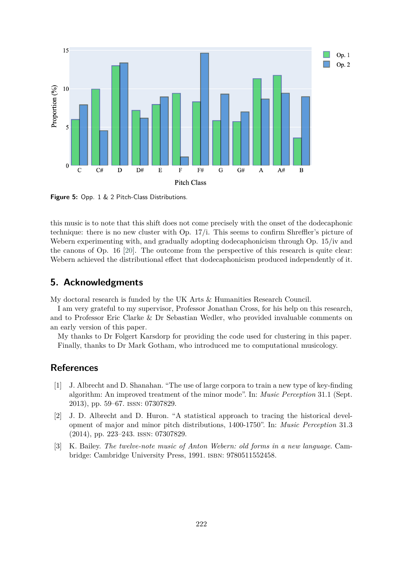

**Figure 5:** Opp. 1 & 2 Pitch-Class Distributions.

this music is to note that this shift does not come precisely with the onset of the dodecaphonic technique: there is no new cluster with Op. 17/i. This seems to confirm Shreffler's picture of Webern experimenting with, and gradually adopting dodecaphonicism through Op. 15/iv and the canons of Op. 16 [20]. The outcome from the perspective of this research is quite clear: Webern achieved the distributional effect that dodecaphonicism produced independently of it.

### **5. Acknowledgments**

My doctoral research is funded by the UK Arts & Humanities Research Council.

I am very grateful to my supervisor, Professor Jonathan Cross, for his help on this research, and to Professor Eric Clarke & Dr Sebastian Wedler, who provided invaluable comments on an early version of this paper.

My thanks to Dr Folgert Karsdorp for providing the code used for clustering in this paper. Finally, thanks to Dr Mark Gotham, who introduced me to computational musicology.

### **References**

- [1] J. Albrecht and D. Shanahan. "The use of large corpora to train a new type of key-finding algorithm: An improved treatment of the minor mode". In: *Music Perception* 31.1 (Sept. 2013), pp. 59–67. issn: 07307829.
- [2] J. D. Albrecht and D. Huron. "A statistical approach to tracing the historical development of major and minor pitch distributions, 1400-1750". In: *Music Perception* 31.3 (2014), pp. 223–243. issn: 07307829.
- [3] K. Bailey. *The twelve-note music of Anton Webern: old forms in a new language*. Cambridge: Cambridge University Press, 1991. isbn: 9780511552458.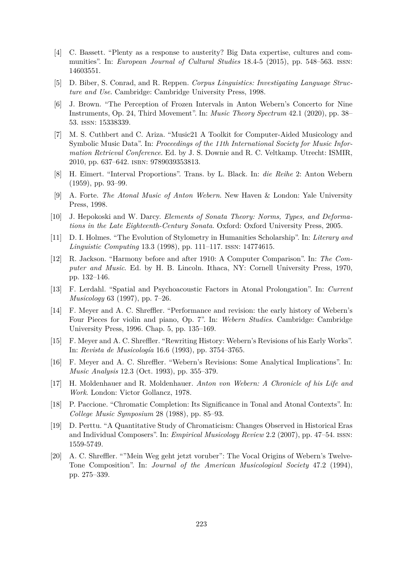- [4] C. Bassett. "Plenty as a response to austerity? Big Data expertise, cultures and communities". In: *European Journal of Cultural Studies* 18.4-5 (2015), pp. 548–563. issn: 14603551.
- [5] D. Biber, S. Conrad, and R. Reppen. *Corpus Linguistics: Investigating Language Structure and Use*. Cambridge: Cambridge University Press, 1998.
- [6] J. Brown. "The Perception of Frozen Intervals in Anton Webern's Concerto for Nine Instruments, Op. 24, Third Movement". In: *Music Theory Spectrum* 42.1 (2020), pp. 38– 53. issn: 15338339.
- [7] M. S. Cuthbert and C. Ariza. "Music21 A Toolkit for Computer-Aided Musicology and Symbolic Music Data". In: *Proceedings of the 11th International Society for Music Information Retrieval Conference*. Ed. by J. S. Downie and R. C. Veltkamp. Utrecht: ISMIR, 2010, pp. 637–642. isbn: 9789039353813.
- [8] H. Eimert. "Interval Proportions". Trans. by L. Black. In: *die Reihe* 2: Anton Webern (1959), pp. 93–99.
- [9] A. Forte. *The Atonal Music of Anton Webern*. New Haven & London: Yale University Press, 1998.
- [10] J. Hepokoski and W. Darcy. *Elements of Sonata Theory: Norms, Types, and Deformations in the Late Eighteenth-Century Sonata*. Oxford: Oxford University Press, 2005.
- [11] D. I. Holmes. "The Evolution of Stylometry in Humanities Scholarship". In: *Literary and Linguistic Computing* 13.3 (1998), pp. 111–117. issn: 14774615.
- [12] R. Jackson. "Harmony before and after 1910: A Computer Comparison". In: *The Computer and Music*. Ed. by H. B. Lincoln. Ithaca, NY: Cornell University Press, 1970, pp. 132–146.
- [13] F. Lerdahl. "Spatial and Psychoacoustic Factors in Atonal Prolongation". In: *Current Musicology* 63 (1997), pp. 7–26.
- [14] F. Meyer and A. C. Shreffler. "Performance and revision: the early history of Webern's Four Pieces for violin and piano, Op. 7". In: *Webern Studies*. Cambridge: Cambridge University Press, 1996. Chap. 5, pp. 135–169.
- [15] F. Meyer and A. C. Shreffler. "Rewriting History: Webern's Revisions of his Early Works". In: *Revista de Musicología* 16.6 (1993), pp. 3754–3765.
- [16] F. Meyer and A. C. Shreffler. "Webern's Revisions: Some Analytical Implications". In: *Music Analysis* 12.3 (Oct. 1993), pp. 355–379.
- [17] H. Moldenhauer and R. Moldenhauer. *Anton von Webern: A Chronicle of his Life and Work*. London: Victor Gollancz, 1978.
- [18] P. Paccione. "Chromatic Completion: Its Significance in Tonal and Atonal Contexts". In: *College Music Symposium* 28 (1988), pp. 85–93.
- [19] D. Perttu. "A Quantitative Study of Chromaticism: Changes Observed in Historical Eras and Individual Composers". In: *Empirical Musicology Review* 2.2 (2007), pp. 47–54. issn: 1559-5749.
- [20] A. C. Shreffler. ""Mein Weg geht jetzt voruber": The Vocal Origins of Webern's Twelve-Tone Composition". In: *Journal of the American Musicological Society* 47.2 (1994), pp. 275–339.